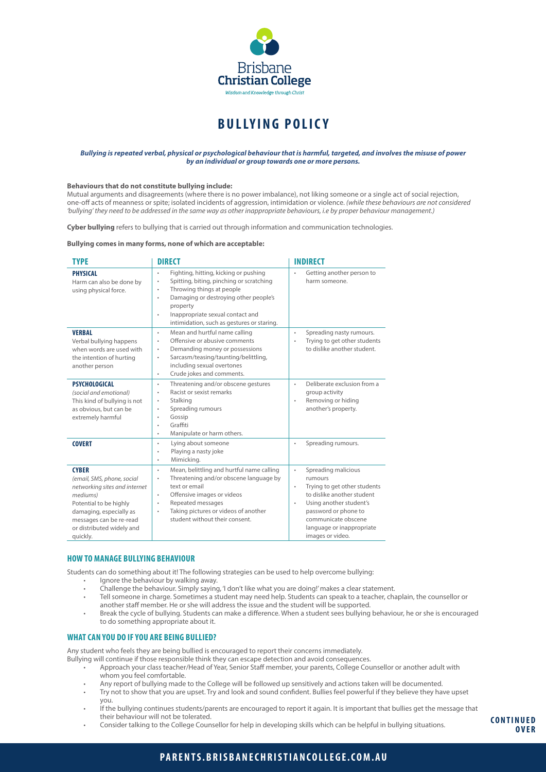

# **BULLYING POLIC Y**

#### *Bullying is repeated verbal, physical or psychological behaviour that is harmful, targeted, and involves the misuse of power by an individual or group towards one or more persons.*

#### **Behaviours that do not constitute bullying include:**

Mutual arguments and disagreements (where there is no power imbalance), not liking someone or a single act of social rejection, one-off acts of meanness or spite; isolated incidents of aggression, intimidation or violence. *(while these behaviours are not considered 'bullying' they need to be addressed in the same way as other inappropriate behaviours, i.e by proper behaviour management.)*

**Cyber bullying** refers to bullying that is carried out through information and communication technologies.

#### **Bullying comes in many forms, none of which are acceptable:**

| <b>TYPE</b>                                                                                                                                                                                                      | <b>DIRECT</b>                                                                                                                                                                                                                                                                                                          | <b>INDIRECT</b>                                                                                                                                                                                                                                                |
|------------------------------------------------------------------------------------------------------------------------------------------------------------------------------------------------------------------|------------------------------------------------------------------------------------------------------------------------------------------------------------------------------------------------------------------------------------------------------------------------------------------------------------------------|----------------------------------------------------------------------------------------------------------------------------------------------------------------------------------------------------------------------------------------------------------------|
| <b>PHYSICAL</b><br>Harm can also be done by<br>using physical force.                                                                                                                                             | Fighting, hitting, kicking or pushing<br>$\bullet$<br>Spitting, biting, pinching or scratching<br>$\bullet$<br>Throwing things at people<br>$\bullet$<br>Damaging or destroying other people's<br>$\bullet$<br>property<br>Inappropriate sexual contact and<br>$\bullet$<br>intimidation, such as gestures or staring. | Getting another person to<br>$\ddot{\phantom{0}}$<br>harm someone.                                                                                                                                                                                             |
| <b>VERBAL</b><br>Verbal bullying happens<br>when words are used with<br>the intention of hurting<br>another person                                                                                               | Mean and hurtful name calling<br>٠<br>Offensive or abusive comments<br>$\bullet$<br>Demanding money or possessions<br>٠<br>Sarcasm/teasing/taunting/belittling,<br>$\bullet$<br>including sexual overtones<br>Crude jokes and comments.<br>$\bullet$                                                                   | Spreading nasty rumours.<br>$\bullet$<br>Trying to get other students<br>$\ddot{\phantom{a}}$<br>to dislike another student.                                                                                                                                   |
| <b>PSYCHOLOGICAL</b><br>(social and emotional)<br>This kind of bullying is not<br>as obvious, but can be<br>extremely harmful                                                                                    | Threatening and/or obscene gestures<br>٠<br>Racist or sexist remarks<br>٠<br>Stalking<br>$\bullet$<br>Spreading rumours<br>$\bullet$<br>Gossip<br>$\bullet$<br>Graffiti<br>$\bullet$<br>Manipulate or harm others.<br>$\bullet$                                                                                        | Deliberate exclusion from a<br>$\ddot{\phantom{0}}$<br>group activity<br>Removing or hiding<br>$\bullet$<br>another's property.                                                                                                                                |
| <b>COVERT</b>                                                                                                                                                                                                    | Lying about someone<br>٠<br>Playing a nasty joke<br>$\bullet$<br>Mimicking.<br>٠                                                                                                                                                                                                                                       | Spreading rumours.<br>٠                                                                                                                                                                                                                                        |
| <b>CYBER</b><br>(email, SMS, phone, social<br>networking sites and internet<br>mediums)<br>Potential to be highly<br>damaging, especially as<br>messages can be re-read<br>or distributed widely and<br>quickly. | Mean, belittling and hurtful name calling<br>٠<br>Threatening and/or obscene language by<br>$\bullet$<br>text or email<br>Offensive images or videos<br>$\bullet$<br>Repeated messages<br>٠<br>Taking pictures or videos of another<br>$\bullet$<br>student without their consent.                                     | Spreading malicious<br>$\bullet$<br>rumours<br>Trying to get other students<br>$\bullet$<br>to dislike another student<br>Using another student's<br>$\bullet$<br>password or phone to<br>communicate obscene<br>language or inappropriate<br>images or video. |

### **HOW TO MANAGE BULLYING BEHAVIOUR**

Students can do something about it! The following strategies can be used to help overcome bullying:

- Ignore the behaviour by walking away.
- Challenge the behaviour. Simply saying, 'I don't like what you are doing!' makes a clear statement.
- Tell someone in charge. Sometimes a student may need help. Students can speak to a teacher, chaplain, the counsellor or another staff member. He or she will address the issue and the student will be supported.
- Break the cycle of bullying. Students can make a difference. When a student sees bullying behaviour, he or she is encouraged to do something appropriate about it.

#### **WHAT CAN YOU DO IF YOU ARE BEING BULLIED?**

Any student who feels they are being bullied is encouraged to report their concerns immediately.

- Bullying will continue if those responsible think they can escape detection and avoid consequences.
	- Approach your class teacher/Head of Year, Senior Staff member, your parents, College Counsellor or another adult with whom you feel comfortable.
	- Any report of bullying made to the College will be followed up sensitively and actions taken will be documented.
	- Try not to show that you are upset. Try and look and sound confident. Bullies feel powerful if they believe they have upset you.
	- If the bullying continues students/parents are encouraged to report it again. It is important that bullies get the message that their behaviour will not be tolerated.
	- Consider talking to the College Counsellor for help in developing skills which can be helpful in bullying situations.

**C O N T I N U E D OVER**

# **PARENTS.BRISBANECHRISTIANCOLLEGE.COM.AU**